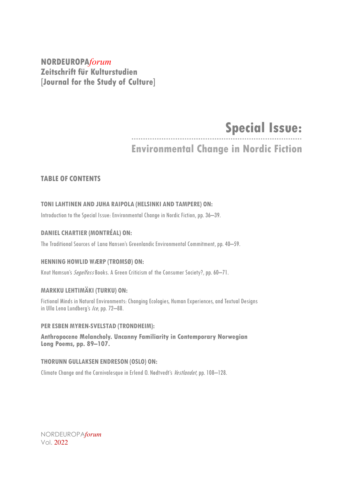#### **NORDEUROPA***forum* **Zeitschrift für Kulturstudien [Journal for the Study of Culture]**

## **Special Issue:**

### **Environmental Change in Nordic Fiction**

#### **TABLE OF CONTENTS**

#### **TONILAHTINEN AND JUHA RAIPOLA (HELSINKI AND TAMPERE) ON:**

Introduction to the Special Issue: Environmental Change in Nordic Fiction, pp. 36–39.

#### **DANIEL CHARTIER (MONTRÉAL) ON:**

The Traditional Sources of Lana Hansen's Greenlandic Environmental Commitment, pp. 40–59.

#### **HENNING HOWLID WÆRP (TROMSØ) ON:**

Knut Hamsun's *Segelfoss* Books. A Green Criticism of the Consumer Society?, pp. 60–71.

#### **MARKKU LEHTIMÄKI (TURKU) ON:**

Fictional Minds in Natural Environments: Changing Ecologies, Human Experiences, and Textual Designs in Ulla Lena Lundberg's Ice, pp. 72-88.

#### **PER ESBEN MYREN-SVELSTAD (TRONDHEIM):**

**Anthropocene Melancholy. Uncanny Familiarity in Contemporary Norwegian Long Poems, pp. 89–107.**

#### **THORUNN GULLAKSEN ENDRESON (OSLO) ON:**

Climate Change and the Carnivalesque in Erlend O. Nødtvedt's *Vestlandet*, pp. 108-128.

NORDEUROPA*forum* Vol. 2022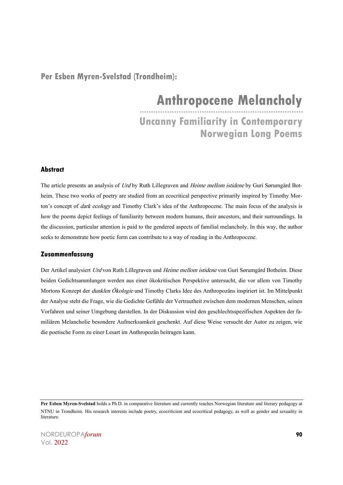#### **Per Esben Myren-Svelstad (Trondheim):**

# **Anthropocene Melancholy**

**Uncanny Familiarity in Contemporary Norwegian Long Poems**

#### **Abstract**

The article presents an analysis of Urd by Ruth Lillegraven and Heime mellom istidene by Guri Sørumgård Botheim. These two works of poetry are studied from an ecocritical perspective primarily inspired by Timothy Morton's concept of *dark ecology* and Timothy Clark's idea of the Anthropocene. The main focus of the analysis is how the poems depict feelings of familiarity between modern humans, their ancestors, and their surroundings. In the discussion, particular attention is paid to the gendered aspects of familial melancholy. In this way, the author seeks to demonstrate how poetic form can contribute to a way of reading in the Anthropocene.

#### **Zusammenfassung**

Der Artikel analysiert Urd von Ruth Lillegraven und Heime mellom istidene von Guri Sørumgård Botheim. Diese beiden Gedichtsammlungen werden aus einer ökokritischen Perspektive untersucht, die vor allem von Timothy Mortons Konzept der *dunklen Ökologie* und Timothy Clarks Idee des Anthropozäns inspiriert ist. Im Mittelpunkt der Analyse steht die Frage, wie die Gedichte Gefühle der Vertrautheit zwischen dem modernen Menschen, seinen Vorfahren und seiner Umgebung darstellen. In der Diskussion wird den geschlechtsspezifischen Aspekten der familiären Melancholie besondere Aufmerksamkeit geschenkt. Auf diese Weise versucht der Autor zu zeigen, wie die poetische Form zu einer Lesart im Anthropozän beitragen kann.

Per Esben Myren-Svelstad holds a Ph.D. in comparative literature and currently teaches Norwegian literature and literary pedagogy at NTNU in Trondheim. His research interests include poetry, ecocriticism and ecocritical pedagogy, as well as gender and sexuality in literature.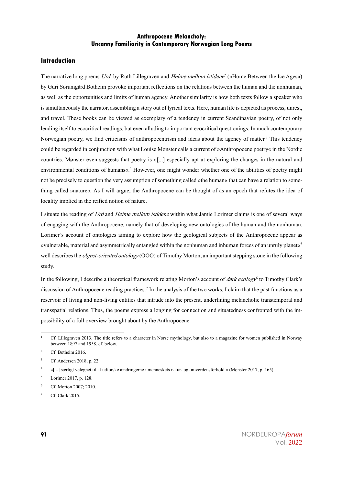#### **Introduction**

The narrative long poems Urd<sup>1</sup> by Ruth Lillegraven and *Heime mellom istidene<sup>2</sup>* (»Home Between the Ice Ages«) by Guri Sørumgård Botheim provoke important reflections on the relations between the human and the nonhuman, as well as the opportunities and limits of human agency. Another similarity is how both texts follow a speaker who is simultaneously the narrator, assembling a story out of lyrical texts. Here, human life is depicted as process, unrest, and travel. These books can be viewed as exemplary of a tendency in current Scandinavian poetry, of not only lending itself to ecocritical readings, but even alluding to important ecocritical questionings. In much contemporary Norwegian poetry, we find criticisms of anthropocentrism and ideas about the agency of matter.<sup>3</sup> This tendency could be regarded in conjunction with what Louise Mønster calls a current of »Anthropocene poetry« in the Nordic countries. Mønster even suggests that poetry is »[...] especially apt at exploring the changes in the natural and environmental conditions of humans«.<sup>4</sup> However, one might wonder whether one of the abilities of poetry might not be precisely to question the very assumption of something called »the human« that can have a relation to something called »nature«. As I will argue, the Anthropocene can be thought of as an epoch that refutes the idea of locality implied in the reified notion of nature.

I situate the reading of Urd and Heime mellom istidene within what Jamie Lorimer claims is one of several ways of engaging with the Anthropocene, namely that of developing new ontologies of the human and the nonhuman. Lorimer's account of ontologies aiming to explore how the geological subjects of the Anthropocene appear as wulnerable, material and asymmetrically entangled within the nonhuman and inhuman forces of an unruly planet« $5$ well describes the *object-oriented ontology* (OOO) of Timothy Morton, an important stepping stone in the following study.

In the following, I describe a theoretical framework relating Morton's account of *dark ecology*<sup>6</sup> to Timothy Clark's discussion of Anthropocene reading practices.<sup>7</sup> In the analysis of the two works, I claim that the past functions as a reservoir of living and non-living entities that intrude into the present, underlining melancholic transtemporal and transspatial relations. Thus, the poems express a longing for connection and situatedness confronted with the impossibility of a full overview brought about by the Anthropocene.

<sup>6</sup> Cf. Morton 2007; 2010.

<sup>&</sup>lt;sup>1</sup> Cf. Lillegraven 2013. The title refers to a character in Norse mythology, but also to a magazine for women published in Norway between 1897 and 1958, cf. below.

<sup>&</sup>lt;sup>2</sup> Cf. Botheim 2016.

<sup>3</sup> Cf. Andersen 2018, p. 22.

<sup>4</sup> »[...] særligt velegnet til at udforske ændringerne i menneskets natur- og omverdensforhold.« (Mønster 2017, p. 165)

<sup>5</sup> Lorimer 2017, p. 128.

Cf. Clark 2015.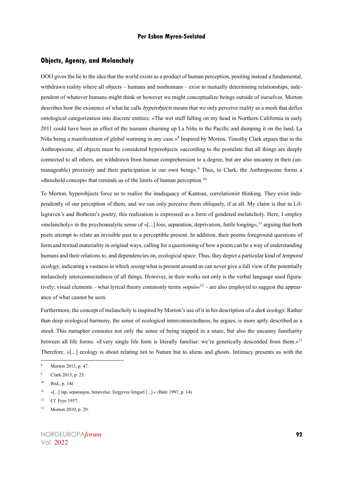#### **Objects, Agency, and Melancholy**

OOO gives the lie to the idea that the world exists as a product of human perception, positing instead a fundamental, withdrawn reality where all objects – humans and nonhumans – exist in mutually determining relationships, independent of whatever humans might think or however we might conceptualize beings outside of ourselves. Morton describes how the existence of what he calls *hyperobjects* means that we only perceive reality as a mesh that defies ontological categorization into discrete entities: »The wet stuff falling on my head in Northern California in early 2011 could have been an effect of the tsunami churning up La Niña in the Pacific and dumping it on the land, La Niña being a manifestation of global warming in any case.«<sup>8</sup> Inspired by Morton, Timothy Clark argues that in the Anthropocene, all objects must be considered hyperobjects »according to the postulate that all things are deeply connected to all others, are withdrawn from human comprehension to a degree, but are also uncanny in their (unmanageable) proximity and their participation in our own being«. <sup>9</sup> Thus, to Clark, the Anthropocene forms a »threshold concept« that reminds us of the limits of human perception.<sup>10</sup>

To Morton, hyperobjects force us to realize the inadequacy of Kantian, correlationist thinking. They exist independently of our perception of them, and we can only perceive them obliquely, if at all. My claim is that in Lillegraven's and Botheim's poetry, this realization is expressed as a form of gendered melancholy. Here, I employ »melancholy« in the psychoanalytic sense of »[...] loss, separation, deprivation, futile longing«,<sup>11</sup> arguing that both poets attempt to relate an invisible past to a perceptible present. In addition, their poems foreground questions of form and textual materiality in original ways, calling for a questioning of how a poem can be a way of understanding humans and their relations to, and dependencies on, ecological space. Thus, they depict a particular kind of temporal ecology, indicating a vastness in which *seeing* what is present around us can never give a full view of the potentially melancholy interconnectedness of all things. However, in their works not only is the verbal language used figuratively; visual elements – what lyrical theory commonly terms »opsis $\alpha^{12}$  – are also employed to suggest the appearance of what cannot be seen.

Furthermore, the concept of melancholy is inspired by Morton's use of it in his description of a *dark ecology*. Rather than deep ecological harmony, the sense of ecological interconnectedness, he argues, is more aptly described as a mesh. This metaphor connotes not only the sense of being trapped in a snare, but also the uncanny familiarity between all life forms: »Every single life form is literally familiar: we're genetically descended from them.«<sup>13</sup> Therefore, »[...] ecology is about relating not to Nature but to aliens and ghosts. Intimacy presents us with the

Morton 2013, p. 47.

<sup>9</sup> Clark 2015, p. 25.

 $10$  Ibid., p. 14f.

<sup>11</sup> »[...] tap, separasjon, berøvelse, forgjeves lengsel [...].« (Bale 1997, p. 14)

<sup>&</sup>lt;sup>12</sup> Cf. Frye 1957.

<sup>13</sup> Morton 2010, p. 29.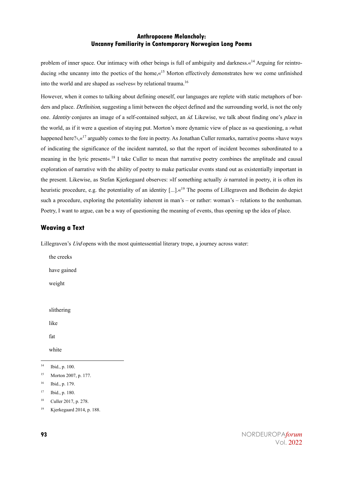problem of inner space. Our intimacy with other beings is full of ambiguity and darkness.«<sup>14</sup> Arguing for reintroducing »the uncanny into the poetics of the home, «<sup>15</sup> Morton effectively demonstrates how we come unfinished into the world and are shaped as »selves« by relational trauma.<sup>16</sup>

However, when it comes to talking about defining oneself, our languages are replete with static metaphors of borders and place. *Definition*, suggesting a limit between the object defined and the surrounding world, is not the only one. *Identity* conjures an image of a self-contained subject, an *id*. Likewise, we talk about finding one's *place* in the world, as if it were a question of staying put. Morton's more dynamic view of place as »a questioning, a ›what happened here? $\kappa^{17}$  arguably comes to the fore in poetry. As Jonathan Culler remarks, narrative poems »have ways of indicating the significance of the incident narrated, so that the report of incident becomes subordinated to a meaning in the lyric present«.<sup>18</sup> I take Culler to mean that narrative poetry combines the amplitude and causal exploration of narrative with the ability of poetry to make particular events stand out as existentially important in the present. Likewise, as Stefan Kjerkegaard observes: »If something actually is narrated in poetry, it is often its heuristic procedure, e.g. the potentiality of an identity [...].«<sup>19</sup> The poems of Lillegraven and Botheim do depict such a procedure, exploring the potentiality inherent in man's – or rather: woman's – relations to the nonhuman. Poetry, I want to argue, can be a way of questioning the meaning of events, thus opening up the idea of place.

#### **Weaving a Text**

Lillegraven's  $Urd$  opens with the most quintessential literary trope, a journey across water:

the creeks have gained weight slithering

like

fat

white

<sup>17</sup> Ibid., p. 180.

<sup>14</sup> Ibid., p. 100.

<sup>15</sup> Morton 2007, p. 177.

<sup>16</sup> Ibid., p. 179.

<sup>18</sup> Culler 2017, p. 278.

<sup>19</sup> Kjerkegaard 2014, p. 188.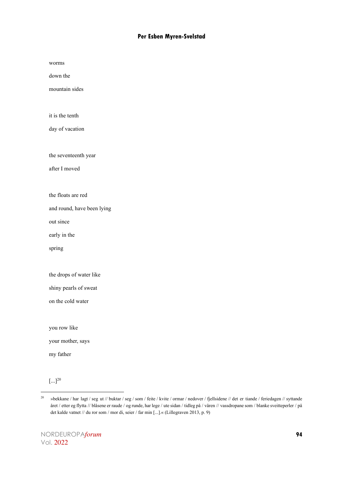worms

down the

mountain sides

it is the tenth

day of vacation

the seventeenth year

after I moved

the floats are red

and round, have been lying

out since

early in the

spring

the drops of water like

shiny pearls of sweat

on the cold water

you row like

your mother, says

my father

 $[...]^{20}$ 

<sup>20</sup> »bekkane / har lagt / seg ut // buktar / seg / som / feite / kvite / ormar / nedover / fjellsidene // det er tiande / feriedagen // syttande året / etter eg flytta // blåsene er raude / og runde, har lege / ute sidan / tidleg på / våren // vassdropane som / blanke sveitteperler / på det kalde vatnet // du ror som / mor di, seier / far min [...].« (Lillegraven 2013, p. 9)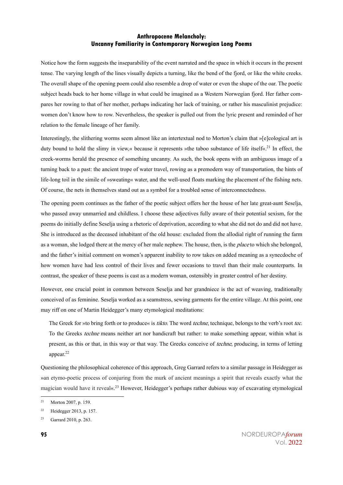Notice how the form suggests the inseparability of the event narrated and the space in which it occurs in the present tense. The varying length of the lines visually depicts a turning, like the bend of the fjord, or like the white creeks. The overall shape of the opening poem could also resemble a drop of water or even the shape of the oar. The poetic subject heads back to her home village in what could be imagined as a Western Norwegian fjord. Her father compares her rowing to that of her mother, perhaps indicating her lack of training, or rather his masculinist prejudice: women don't know how to row. Nevertheless, the speaker is pulled out from the lyric present and reminded of her relation to the female lineage of her family.

Interestingly, the slithering worms seem almost like an intertextual nod to Morton's claim that »[e]cological art is duty bound to hold the slimy in view,« because it represents »the taboo substance of life itself«.<sup>21</sup> In effect, the creek-worms herald the presence of something uncanny. As such, the book opens with an ambiguous image of a turning back to a past: the ancient trope of water travel, rowing as a premodern way of transportation, the hints of life-long toil in the simile of »sweating« water, and the well-used floats marking the placement of the fishing nets. Of course, the nets in themselves stand out as a symbol for a troubled sense of interconnectedness.

The opening poem continues as the father of the poetic subject offers her the house of her late great-aunt Seselja, who passed away unmarried and childless. I choose these adjectives fully aware of their potential sexism, for the poems do initially define Seselja using a rhetoric of deprivation, according to what she did not do and did not have. She is introduced as the deceased inhabitant of the old house: excluded from the allodial right of running the farm as a woman, she lodged there at the mercy of her male nephew. The house, then, is the *place* to which she belonged, and the father's initial comment on women's apparent inability to row takes on added meaning as a synecdoche of how women have had less control of their lives and fewer occasions to travel than their male counterparts. In contrast, the speaker of these poems is cast as a modern woman, ostensibly in greater control of her destiny.

However, one crucial point in common between Seselja and her grandniece is the act of weaving, traditionally conceived of as feminine. Seselja worked as a seamstress, sewing garments for the entire village. At this point, one may riff on one of Martin Heidegger's many etymological meditations:

The Greek for »to bring forth or to produce« is *tikto*. The word *techne*, technique, belongs to the verb's root *tec*. To the Greeks *techne* means neither art nor handicraft but rather: to make something appear, within what is present, as this or that, in this way or that way. The Greeks conceive of *techne*, producing, in terms of letting appear.<sup>22</sup>

Questioning the philosophical coherence of this approach, Greg Garrard refers to a similar passage in Heidegger as »an etymo-poetic process of conjuring from the murk of ancient meanings a spirit that reveals exactly what the magician would have it reveal«.<sup>23</sup> However, Heidegger's perhaps rather dubious way of excavating etymological

<sup>&</sup>lt;sup>21</sup> Morton 2007, p. 159.

<sup>22</sup> Heidegger 2013, p. 157.

<sup>23</sup> Garrard 2010, p. 263.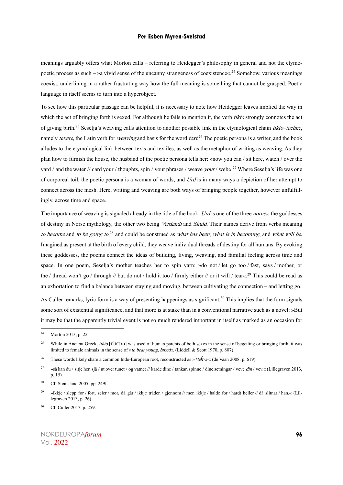meanings arguably offers what Morton calls – referring to Heidegger's philosophy in general and not the etymopoetic process as such – »a vivid sense of the uncanny strangeness of coexistence«.<sup>24</sup> Somehow, various meanings coexist, underlining in a rather frustrating way how the full meaning is something that cannot be grasped. Poetic language in itself seems to turn into a hyperobject.

To see how this particular passage can be helpful, it is necessary to note how Heidegger leaves implied the way in which the act of bringing forth is sexed. For although he fails to mention it, the verb *tikto* strongly connotes the act of giving birth.<sup>25</sup> Seselja's weaving calls attention to another possible link in the etymological chain *tikto–techne*, namely *texere*, the Latin verb for *weaving* and basis for the word *text*.<sup>26</sup> The poetic persona is a writer, and the book alludes to the etymological link between texts and textiles, as well as the metaphor of writing as weaving. As they plan how to furnish the house, the husband of the poetic persona tells her: »now you can / sit here, watch / over the yard / and the water // card your / thoughts, spin / your phrases / weave *your* / web«.<sup>27</sup> Where Seselia's life was one of corporeal toil, the poetic persona is a woman of words, and Urd is in many ways a depiction of her attempt to connect across the mesh. Here, writing and weaving are both ways of bringing people together, however unfulfillingly, across time and space.

The importance of weaving is signaled already in the title of the book. Urd is one of the three *nornes*, the goddesses of destiny in Norse mythology, the other two being Verdandi and Skuld. Their names derive from verbs meaning to become and to be going to, $28$  and could be construed as what has been, what is in becoming, and what will be. Imagined as present at the birth of every child, they weave individual threads of destiny for all humans. By evoking these goddesses, the poems connect the ideas of building, living, weaving, and familial feeling across time and space. In one poem, Seselja's mother teaches her to spin yarn: »do not / let go too / fast, says / mother, or the / thread won't go / through // but do not / hold it too / firmly either // or it will / tear«.<sup>29</sup> This could be read as an exhortation to find a balance between staying and moving, between cultivating the connection – and letting go.

As Culler remarks, lyric form is a way of presenting happenings as significant.<sup>30</sup> This implies that the form signals some sort of existential significance, and that more is at stake than in a conventional narrative such as a novel: »But it may be that the apparently trivial event is not so much rendered important in itself as marked as an occasion for

<sup>24</sup> Morton 2013, p. 22.

<sup>&</sup>lt;sup>25</sup> While in Ancient Greek, tikto [τίκτω] was used of human parents of both sexes in the sense of begetting or bringing forth, it was limited to female animals in the sense of »to bear young, breed«. (Liddell & Scott 1970, p. 807)

<sup>26</sup> These words likely share a common Indo-European root, reconstructed as »\*te*ḱ*-s-« (de Vaan 2008, p. 619).

<sup>&</sup>lt;sup>27</sup> »så kan du / sitje her, sjå / ut over tunet / og vatnet // karde dine / tankar, spinne / dine setningar / veve din / vev.« (Lillegraven 2013, p. 15)

<sup>&</sup>lt;sup>28</sup> Cf. Steinsland 2005, pp. 249f.

<sup>&</sup>lt;sup>29</sup> »ikkje / slepp for / fort, seier / mor, då går / ikkje tråden / gjennom // men ikkje / halde for / hardt heller // då slitnar / han.« (Lillegraven 2013, p. 26)

<sup>30</sup> Cf. Culler 2017, p. 259.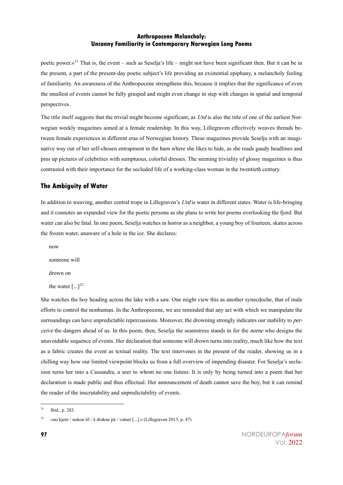poetic power. $\alpha^{31}$  That is, the event – such as Seselja's life – might not have been significant then. But it can be in the present, a part of the present-day poetic subject's life providing an existential epiphany, a melancholy feeling of familiarity. An awareness of the Anthropocene strengthens this, because it implies that the significance of even the smallest of events cannot be fully grasped and might even change in step with changes in spatial and temporal perspectives.

The title itself suggests that the trivial might become significant, as  $Urd$  is also the title of one of the earliest Norwegian weekly magazines aimed at a female readership. In this way, Lillegraven effectively weaves threads between female experiences in different eras of Norwegian history. These magazines provide Seselja with an imaginative way out of her self-chosen entrapment in the barn where she likes to hide, as she reads gaudy headlines and pins up pictures of celebrities with sumptuous, colorful dresses. The seeming triviality of glossy magazines is thus contrasted with their importance for the secluded life of a working-class woman in the twentieth century.

#### **The Ambiguity of Water**

In addition to weaving, another central trope in Lillegraven's Urd is water in different states. Water is life-bringing and it connotes an expanded view for the poetic persona as she plans to write her poems overlooking the fjord. But water can also be fatal. In one poem, Seselja watches in horror as a neighbor, a young boy of fourteen, skates across the frozen water, unaware of a hole in the ice. She declares:

now

someone will

drown on

the water  $[\dots]^{32}$ 

She watches the boy heading across the lake with a saw. One might view this as another synecdoche, that of male efforts to control the nonhuman. In the Anthropocene, we are reminded that any act with which we manipulate the surroundings can have unpredictable repercussions. Moreover, the drowning strongly indicates our inability to *per*ceive the dangers ahead of us. In this poem, then, Seselja the seamstress stands in for the norne who designs the unavoidable sequence of events. Her declaration that someone will drown turns into reality, much like how the text as a fabric creates the event as textual reality. The text intervenes in the present of the reader, showing us in a chilling way how our limited viewpoint blocks us from a full overview of impending disaster. For Seselja's seclusion turns her into a Cassandra, a seer to whom no one listens. It is only by being turned into a poem that her declaration is made public and thus effectual. Her announcement of death cannot save the boy, but it can remind the reader of the inscrutability and unpredictability of events.

<sup>31</sup> Ibid., p. 283.

<sup>&</sup>lt;sup>32</sup> »no kjem / nokon til / å drukne på / vatnet [...].« (Lillegraven 2013, p. 47)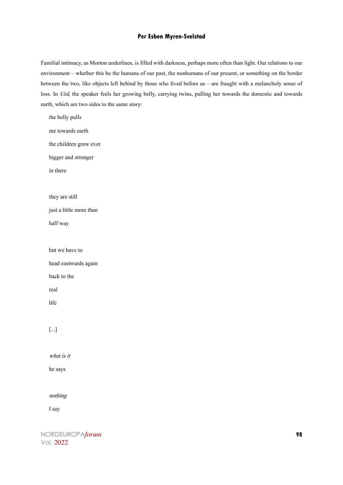Familial intimacy, as Morton underlines, is filled with darkness, perhaps more often than light. Our relations to our environment – whether this be the humans of our past, the nonhumans of our present, or something on the border between the two, like objects left behind by those who lived before us – are fraught with a melancholy sense of loss. In Urd, the speaker feels her growing belly, carrying twins, pulling her towards the domestic and towards earth, which are two sides to the same story:

the belly pulls me towards earth the children grow ever bigger and stronger in there they are still just a little more than half way but we have to head eastwards again back to the real life [...]

what is it

he says

nothing

I say

NORDEUROPA*forum* **98** Vol. 2022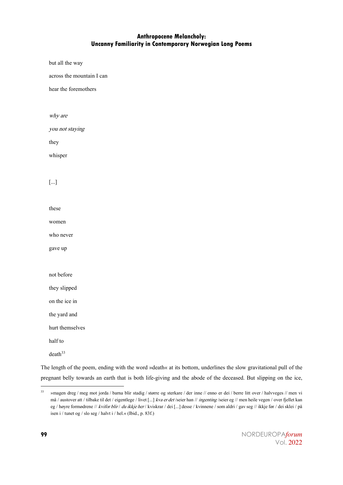but all the way

across the mountain I can

hear the foremothers

why are

you not staying

they

whisper

#### [...]

these

women

who never

gave up

not before

they slipped

on the ice in

the yard and

hurt themselves

half to

 $death^{33}$ 

The length of the poem, ending with the word »death« at its bottom, underlines the slow gravitational pull of the pregnant belly towards an earth that is both life-giving and the abode of the deceased. But slipping on the ice,

<sup>33</sup> »magen dreg / meg mot jorda / barna blir stadig / større og sterkare / der inne // enno er dei / berre litt over / halvveges // men vi må / austover att / tilbake til det / eigentlege / livet [...] kva er det /seier han // ingenting /seier eg // men heile vegen / over fjellet kan eg / høyre formødrene // kvifor blir / du ikkje her / kviskrar / dei [...] desse / kvinnene / som aldri / gav seg // ikkje før / dei sklei / på isen i / tunet og / slo seg / halvt i / hel.« (Ibid., p. 83f.)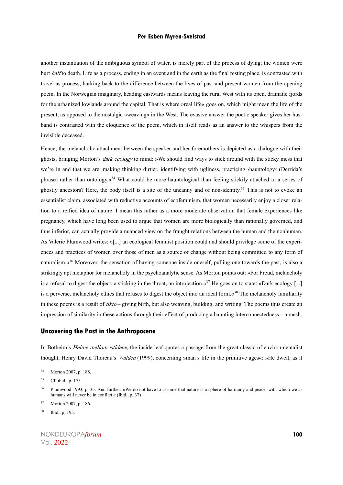another instantiation of the ambiguous symbol of water, is merely part of the process of dying; the women were hurt *half* to death. Life as a process, ending in an event and in the earth as the final resting place, is contrasted with travel as process, harking back to the difference between the lives of past and present women from the opening poem. In the Norwegian imaginary, heading eastwards means leaving the rural West with its open, dramatic fjords for the urbanized lowlands around the capital. That is where »real life« goes on, which might mean the life of the present, as opposed to the nostalgic »weaving« in the West. The evasive answer the poetic speaker gives her husband is contrasted with the eloquence of the poem, which in itself reads as an answer to the whispers from the invisible deceased.

Hence, the melancholic attachment between the speaker and her foremothers is depicted as a dialogue with their ghosts, bringing Morton's *dark ecology* to mind: »We should find ways to stick around with the sticky mess that we're in and that we are, making thinking dirtier, identifying with ugliness, practicing ›hauntology‹ (Derrida's phrase) rather than ontology. $\alpha^{34}$  What could be more hauntological than feeling stickily attached to a series of ghostly ancestors? Here, the body itself is a site of the uncanny and of non-identity.<sup>35</sup> This is not to evoke an essentialist claim, associated with reductive accounts of ecofeminism, that women necessarily enjoy a closer relation to a reified idea of nature. I mean this rather as a more moderate observation that female experiences like pregnancy, which have long been used to argue that women are more biologically than rationally governed, and thus inferior, can actually provide a nuanced view on the fraught relations between the human and the nonhuman. As Valerie Plumwood writes: »[...] an ecological feminist position could and should privilege some of the experiences and practices of women over those of men as a source of change without being committed to any form of naturalism.«<sup>36</sup> Moreover, the sensation of having someone inside oneself, pulling one towards the past, is also a strikingly apt metaphor for melancholy in the psychoanalytic sense. As Morton points out: »For Freud, melancholy is a refusal to digest the object, a sticking in the throat, an introjection. $\alpha^{37}$  He goes on to state: »Dark ecology [...] is a perverse, melancholy ethics that refuses to digest the object into an ideal form. $\kappa^{38}$  The melancholy familiarity in these poems is a result of  $tikto -$  giving birth, but also weaving, building, and writing. The poems thus create an impression of similarity in these actions through their effect of producing a haunting interconnectedness – a mesh.

#### **Uncovering the Past in the Anthropocene**

In Botheim's *Heime mellom istidene*, the inside leaf quotes a passage from the great classic of environmentalist thought, Henry David Thoreau's Walden (1999), concerning »man's life in the primitive ages«: »He dwelt, as it

<sup>34</sup> Morton 2007, p. 188.

<sup>35</sup> Cf. ibid., p. 175.

<sup>&</sup>lt;sup>36</sup> Plumwood 1993, p. 35. And further: »We do not have to assume that nature is a sphere of harmony and peace, with which we as humans will never be in conflict.« (Ibid., p. 37)

<sup>37</sup> Morton 2007, p. 186.

<sup>38</sup> Ibid., p. 195.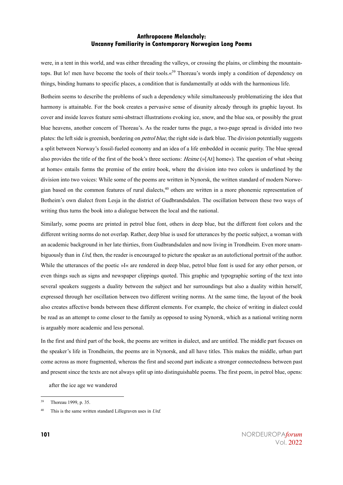were, in a tent in this world, and was either threading the valleys, or crossing the plains, or climbing the mountaintops. But lo! men have become the tools of their tools.«<sup>39</sup> Thoreau's words imply a condition of dependency on things, binding humans to specific places, a condition that is fundamentally at odds with the harmonious life.

Botheim seems to describe the problems of such a dependency while simultaneously problematizing the idea that harmony is attainable. For the book creates a pervasive sense of disunity already through its graphic layout. Its cover and inside leaves feature semi-abstract illustrations evoking ice, snow, and the blue sea, or possibly the great blue heavens, another concern of Thoreau's. As the reader turns the page, a two-page spread is divided into two plates: the left side is greenish, bordering on petrol blue, the right side is dark blue. The division potentially suggests a split between Norway's fossil-fueled economy and an idea of a life embedded in oceanic purity. The blue spread also provides the title of the first of the book's three sections: *Heime* (»[At] home«). The question of what »being at home« entails forms the premise of the entire book, where the division into two colors is underlined by the division into two voices: While some of the poems are written in Nynorsk, the written standard of modern Norwegian based on the common features of rural dialects,<sup>40</sup> others are written in a more phonemic representation of Botheim's own dialect from Lesja in the district of Gudbrandsdalen. The oscillation between these two ways of writing thus turns the book into a dialogue between the local and the national.

Similarly, some poems are printed in petrol blue font, others in deep blue, but the different font colors and the different writing norms do not overlap. Rather, deep blue is used for utterances by the poetic subject, a woman with an academic background in her late thirties, from Gudbrandsdalen and now living in Trondheim. Even more unambiguously than in Urd, then, the reader is encouraged to picture the speaker as an autofictional portrait of the author. While the utterances of the poetic »I« are rendered in deep blue, petrol blue font is used for any other person, or even things such as signs and newspaper clippings quoted. This graphic and typographic sorting of the text into several speakers suggests a duality between the subject and her surroundings but also a duality within herself, expressed through her oscillation between two different writing norms. At the same time, the layout of the book also creates affective bonds between these different elements. For example, the choice of writing in dialect could be read as an attempt to come closer to the family as opposed to using Nynorsk, which as a national writing norm is arguably more academic and less personal.

In the first and third part of the book, the poems are written in dialect, and are untitled. The middle part focuses on the speaker's life in Trondheim, the poems are in Nynorsk, and all have titles. This makes the middle, urban part come across as more fragmented, whereas the first and second part indicate a stronger connectedness between past and present since the texts are not always split up into distinguishable poems. The first poem, in petrol blue, opens:

after the ice age we wandered

<sup>39</sup> Thoreau 1999, p. 35.

 $40$  This is the same written standard Lillegraven uses in Urd.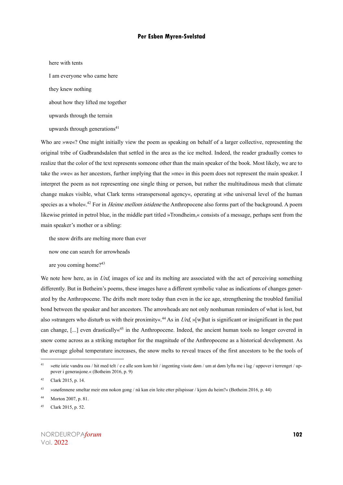here with tents I am everyone who came here they knew nothing about how they lifted me together upwards through the terrain upwards through generations<sup>41</sup>

Who are »we«? One might initially view the poem as speaking on behalf of a larger collective, representing the original tribe of Gudbrandsdalen that settled in the area as the ice melted. Indeed, the reader gradually comes to realize that the color of the text represents someone other than the main speaker of the book. Most likely, we are to take the »we« as her ancestors, further implying that the »me« in this poem does not represent the main speaker. I interpret the poem as not representing one single thing or person, but rather the multitudinous mesh that climate change makes visible, what Clark terms »transpersonal agency«, operating at »the universal level of the human species as a whole«.<sup>42</sup> For in *Heime mellom istidene* the Anthropocene also forms part of the background. A poem likewise printed in petrol blue, in the middle part titled »Trondheim,« consists of a message, perhaps sent from the main speaker's mother or a sibling:

the snow drifts are melting more than ever

now one can search for arrowheads

are you coming home?<sup>43</sup>

We note how here, as in Urd, images of ice and its melting are associated with the act of perceiving something differently. But in Botheim's poems, these images have a different symbolic value as indications of changes generated by the Anthropocene. The drifts melt more today than even in the ice age, strengthening the troubled familial bond between the speaker and her ancestors. The arrowheads are not only nonhuman reminders of what is lost, but also »strangers who disturb us with their proximity«.<sup>44</sup> As in Urd, »[w]hat is significant or insignificant in the past can change,  $[\dots]$  even drastically  $x^{45}$  in the Anthropocene. Indeed, the ancient human tools no longer covered in snow come across as a striking metaphor for the magnitude of the Anthropocene as a historical development. As the average global temperature increases, the snow melts to reveal traces of the first ancestors to be the tools of

<sup>&</sup>lt;sup>41</sup> »ette istie vandra oss / hit med telt / e e alle som kom hit / ingenting visste døm / um at døm lyfta me i lag / uppover i terrenget / uppover i generasjone.« (Botheim 2016, p. 9)

<sup>42</sup> Clark 2015, p. 14.

<sup>43</sup> »snøfennene smeltar meir enn nokon gong / nå kan ein leite etter pilspissar / kjem du heim?« (Botheim 2016, p. 44)

<sup>44</sup> Morton 2007, p. 81.

<sup>45</sup> Clark 2015, p. 52.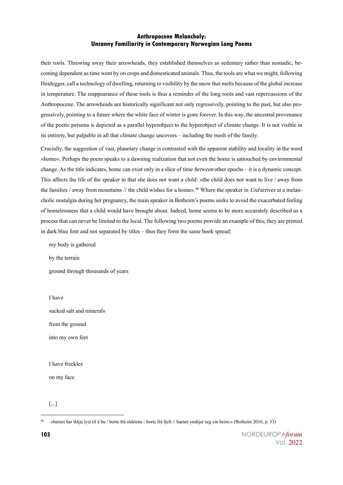their tools. Throwing away their arrowheads, they established themselves as sedentary rather than nomadic, becoming dependent as time went by on crops and domesticated animals. Thus, thetoolsare what we might, following Heidegger, call a technology of dwelling, returning to visibility by the snow that melts because of the global increase in temperature. The reappearance of these tools is thus a reminder of the long roots and vast repercussions of the Anthropocene. The arrowheads are historically significant not only regressively, pointing to the past, but also progressively, pointing to a future where the white face of winter is gone forever. In this way, the ancestral provenance of the poetic persona is depicted as a parallel hyperobject to the hyperobject of climate change. It is not visible in its entirety, but palpable in all that climate change uncovers – including the mesh of the family.

Crucially, the suggestion of vast, planetary change is contrasted with the apparent stability and locality in the word »home«. Perhaps the poem speaks to a dawning realization that not even the home is untouched by environmental change. As the title indicates, home can exist only in a slice of time *between* other epochs – it is a dynamic concept. This affects the life of the speaker in that she does not want a child: »the child does not want to live / away from the families / away from mountains // the child wishes for a home«.<sup>46</sup> Where the speaker in Urd arrives at a melancholic nostalgia during her pregnancy, the main speaker in Botheim's poems seeks to avoid the exacerbated feeling of homelessness that a child would have brought about. Indeed, home seems to be more accurately described as a process that can never be limited to the local. The following two poems provide an example of this; they are printed in dark blue font and not separated by titles – thus they form the same book spread:

my body is gathered

by the terrain

ground through thousands of years

I have

sucked salt and minerals

from the ground

into my own feet

I have freckles

on my face

[...]

<sup>46</sup> »barnet har ikkje lyst til å bu / borte frå slektene / borte frå fjell // barnet ynskjer seg ein heim.« (Botheim 2016, p. 33)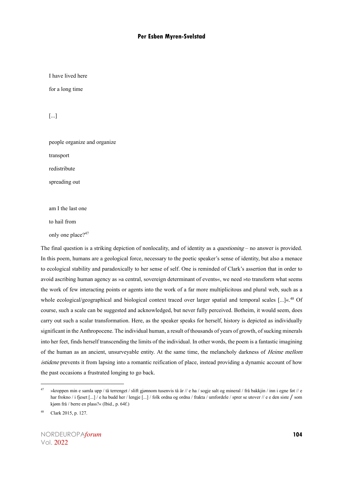I have lived here

for a long time

[...]

people organize and organize transport redistribute

spreading out

am I the last one

to hail from

only one place?<sup>47</sup>

The final question is a striking depiction of nonlocality, and of identity as a *questioning* – no answer is provided. In this poem, humans are a geological force, necessary to the poetic speaker's sense of identity, but also a menace to ecological stability and paradoxically to her sense of self. One is reminded of Clark's assertion that in order to avoid ascribing human agency as »a central, sovereign determinant of events«, we need »to transform what seems the work of few interacting points or agents into the work of a far more multiplicitous and plural web, such as a whole ecological/geographical and biological context traced over larger spatial and temporal scales [...]«.<sup>48</sup> Of course, such a scale can be suggested and acknowledged, but never fully perceived. Botheim, it would seem, does carry out such a scalar transformation. Here, as the speaker speaks for herself, history is depicted as individually significant in the Anthropocene. The individual human, a result of thousands of years of growth, of sucking minerals into her feet, finds herself transcending the limits of the individual. In other words, the poem is a fantastic imagining of the human as an ancient, unsurveyable entity. At the same time, the melancholy darkness of *Heime mellom* istidene prevents it from lapsing into a romantic reification of place, instead providing a dynamic account of how the past occasions a frustrated longing to go back.

<sup>&</sup>lt;sup>47</sup> »kroppen min e samla upp / tå terrenget / slift gjønnom tusenvis tå år // e ha / sogje salt og mineral / frå bakkjin / inn i egne føt // e har frokno / i fjeset [...] / e ha budd her / lengje [...] / folk ordna og ordna / frakta / umfordele / sprer se utover // e e den siste / som kjøm frå / berre en plass?« (Ibid., p. 64f.)

<sup>48</sup> Clark 2015, p. 127.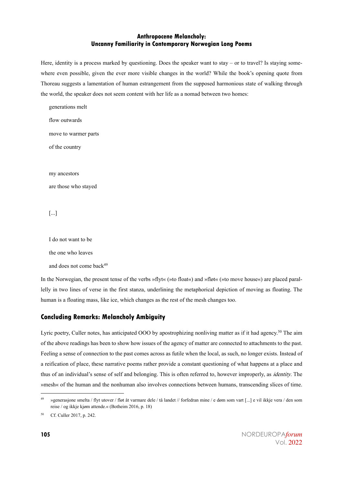Here, identity is a process marked by questioning. Does the speaker want to stay – or to travel? Is staying somewhere even possible, given the ever more visible changes in the world? While the book's opening quote from Thoreau suggests a lamentation of human estrangement from the supposed harmonious state of walking through the world, the speaker does not seem content with her life as a nomad between two homes:

generations melt flow outwards move to warmer parts of the country my ancestors are those who stayed

[...]

I do not want to be

the one who leaves

and does not come back<sup>49</sup>

In the Norwegian, the present tense of the verbs »flyt« (»to float«) and »fløt« (»to move house«) are placed parallelly in two lines of verse in the first stanza, underlining the metaphorical depiction of moving as floating. The human is a floating mass, like ice, which changes as the rest of the mesh changes too.

#### **Concluding Remarks: Melancholy Ambiguity**

Lyric poetry, Culler notes, has anticipated OOO by apostrophizing nonliving matter as if it had agency.<sup>50</sup> The aim of the above readings has been to show how issues of the agency of matter are connected to attachments to the past. Feeling a sense of connection to the past comes across as futile when the local, as such, no longer exists. Instead of a reification of place, these narrative poems rather provide a constant questioning of what happens at a place and thus of an individual's sense of self and belonging. This is often referred to, however improperly, as identity. The »mesh« of the human and the nonhuman also involves connections between humans, transcending slices of time.

<sup>&</sup>lt;sup>49</sup> »generasjone smelta / flyt utover / fløt åt varmare dele / tå landet // forfedran mine / e døm som vart [...] e vil ikkje vera / den som reise / og ikkje kjøm attende.« (Botheim 2016, p. 18)

<sup>50</sup> Cf. Culler 2017, p. 242.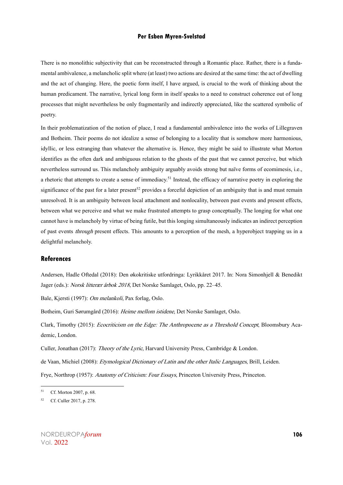There is no monolithic subjectivity that can be reconstructed through a Romantic place. Rather, there is a fundamental ambivalence, a melancholic split where (at least) two actions are desired at the same time: the act of dwelling and the act of changing. Here, the poetic form itself, I have argued, is crucial to the work of thinking about the human predicament. The narrative, lyrical long form in itself speaks to a need to construct coherence out of long processes that might nevertheless be only fragmentarily and indirectly appreciated, like the scattered symbolic of poetry.

In their problematization of the notion of place, I read a fundamental ambivalence into the works of Lillegraven and Botheim. Their poems do not idealize a sense of belonging to a locality that is somehow more harmonious, idyllic, or less estranging than whatever the alternative is. Hence, they might be said to illustrate what Morton identifies as the often dark and ambiguous relation to the ghosts of the past that we cannot perceive, but which nevertheless surround us. This melancholy ambiguity arguably avoids strong but naïve forms of ecomimesis, i.e., a rhetoric that attempts to create a sense of immediacy.<sup>51</sup> Instead, the efficacy of narrative poetry in exploring the significance of the past for a later present<sup>52</sup> provides a forceful depiction of an ambiguity that is and must remain unresolved. It is an ambiguity between local attachment and nonlocality, between past events and present effects, between what we perceive and what we make frustrated attempts to grasp conceptually. The longing for what one cannot have is melancholy by virtue of being futile, but this longing simultaneously indicates an indirect perception of past events *through* present effects. This amounts to a perception of the mesh, a hyperobject trapping us in a delightful melancholy.

#### **References**

Andersen, Hadle Oftedal (2018): Den økokritiske utfordringa: Lyrikkåret 2017. In: Nora Simonhjell & Benedikt Jager (eds.): Norsk litterær årbok 2018, Det Norske Samlaget, Oslo, pp. 22–45.

Bale, Kjersti (1997): Om melankoli, Pax forlag, Oslo.

Botheim, Guri Sørumgård (2016): Heime mellom istidene, Det Norske Samlaget, Oslo.

Clark, Timothy (2015): Ecocriticism on the Edge: The Anthropocene as a Threshold Concept, Bloomsbury Academic, London.

Culler, Jonathan (2017): Theory of the Lyric, Harvard University Press, Cambridge & London.

de Vaan, Michiel (2008): *Etymological Dictionary of Latin and the other Italic Languages*, Brill, Leiden.

Frye, Northrop (1957): Anatomy of Criticism: Four Essays, Princeton University Press, Princeton.

<sup>51</sup> Cf. Morton 2007, p. 68.

<sup>52</sup> Cf. Culler 2017, p. 278.